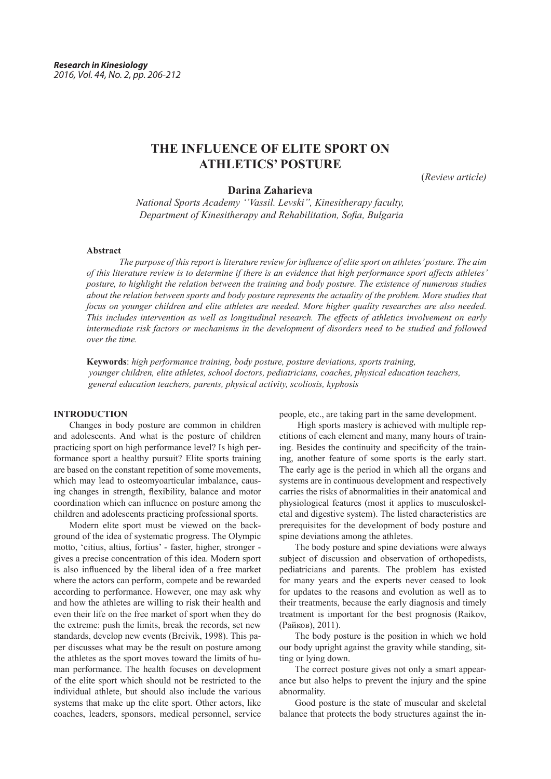# **THE INFLUENCE OF ELITE SPORT ON ATHLETICS' POSTURE**

(*Review article)*

# **Darina Zaharieva**

*National Sports Academy ''Vassil. Levski'', Kinesitherapy faculty, Department of Kinesitherapy and Rehabilitation, Sofia, Bulgaria*

### **Abstract**

*The purpose of this report is literature review for influence of elite sport on athletes' posture. The aim of this literature review is to determine if there is an evidence that high performance sport affects athletes' posture, to highlight the relation between the training and body posture. Тhe existence of numerous studies about the relation between sports and body posture represents the actuality of the problem. More studies that focus on younger children and elite athletes are needed. More higher quality researches are also needed. This includes intervention as well as longitudinal research. The effects of athletics involvement on early intermediate risk factors or mechanisms in the development of disorders need to be studied and followed over the time.*

**Keywords**: *high performance training, body posture, posture deviations, sports training, younger children, elite athletes, school doctors, pediatricians, coaches, physical education teachers, general education teachers, parents, physical activity, scoliosis, kyphosis*

# **INTRODUCTION**

Changes in body posture are common in children and adolescents. And what is the posture of children practicing sport on high performance level? Is high performance sport a healthy pursuit? Elite sports training are based on the constant repetition of some movements, which may lead to osteomyoarticular imbalance, causing changes in strength, flexibility, balance and motor coordination which can influence on posture among the children and adolescents practicing professional sports.

Modern elite sport must be viewed on the background of the idea of systematic progress. The Olympic motto, 'citius, altius, fortius' - faster, higher, stronger gives a precise concentration of this idea. Modern sport is also influenced by the liberal idea of a free market where the actors can perform, compete and be rewarded according to performance. However, one may ask why and how the athletes are willing to risk their health and even their life on the free market of sport when they do the extreme: push the limits, break the records, set new standards, develop new events (Breivik, 1998). This paper discusses what may be the result on posture among the athletes as the sport moves toward the limits of human performance. The health focuses on development of the elite sport which should not be restricted to the individual athlete, but should also include the various systems that make up the elite sport. Other actors, like coaches, leaders, sponsors, medical personnel, service

people, etc., are taking part in the same development.

 High sports mastery is achieved with multiple repetitions of each element and many, many hours of training. Besides the continuity and specificity of the training, another feature of some sports is the early start. The early age is the period in which all the organs and systems are in continuous development and respectively carries the risks of abnormalities in their anatomical and physiological features (most it applies to musculoskeletal and digestive system). The listed characteristics are prerequisites for the development of body posture and spine deviations among the athletes.

The body posture and spine deviations were always subject of discussion and observation of orthopedists, pediatricians and parents. The problem has existed for many years and the experts never ceased to look for updates to the reasons and evolution as well as to their treatments, because the early diagnosis and timely treatment is important for the best prognosis (Raikov, (Райков), 2011).

The body posture is the position in which we hold our body upright against the gravity while standing, sitting or lying down.

The correct posture gives not only a smart appearance but also helps to prevent the injury and the spine abnormality.

Good posture is the state of muscular and skeletal balance that protects the body structures against the in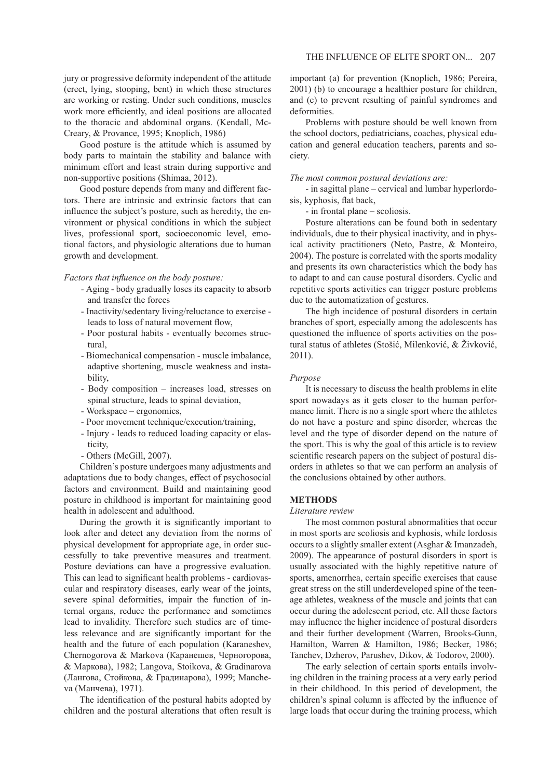jury or progressive deformity independent of the attitude (erect, lying, stooping, bent) in which these structures are working or resting. Under such conditions, muscles work more efficiently, and ideal positions are allocated to the thoracic and abdominal organs. (Kendall, Mc-Creary, & Provance, 1995; Knoplich, 1986)

Good posture is the attitude which is assumed by body parts to maintain the stability and balance with minimum effort and least strain during supportive and non-supportive positions (Shimaa, 2012).

Good posture depends from many and different factors. There are intrinsic and extrinsic factors that can influence the subject's posture, such as heredity, the environment or physical conditions in which the subject lives, professional sport, socioeconomic level, emotional factors, and physiologic alterations due to human growth and development.

*Factors that influence on the body posture:*

- Aging body gradually loses its capacity to absorb and transfer the forces
- Inactivity/sedentary living/reluctance to exercise leads to loss of natural movement flow,
- Poor postural habits eventually becomes structural,
- Biomechanical compensation muscle imbalance, adaptive shortening, muscle weakness and instability,
- Body composition increases load, stresses on spinal structure, leads to spinal deviation,
- Workspace ergonomics,
- Poor movement technique/execution/training,
- Injury leads to reduced loading capacity or elasticity,
- Others (McGill, 2007).

Children's posture undergoes many adjustments and adaptations due to body changes, effect of psychosocial factors and environment. Build and maintaining good posture in childhood is important for maintaining good health in adolescent and adulthood.

During the growth it is significantly important to look after and detect any deviation from the norms of physical development for appropriate age, in order successfully to take preventive measures and treatment. Posture deviations can have a progressive evaluation. This can lead to significant health problems - cardiovascular and respiratory diseases, early wear of the joints, severe spinal deformities, impair the function of internal organs, reduce the performance and sometimes lead to invalidity. Therefore such studies are of timeless relevance and are significantly important for the health and the future of each population (Karaneshev, Chernogorova & Markova (Каранешев, Черногорова, & Маркова), 1982; Langova, Stoikova, & Gradinarova (Лангова, Стойкова, & Градинарова), 1999; Mancheva (Манчева), 1971).

The identification of the postural habits adopted by children and the postural alterations that often result is

important (a) for prevention (Knoplich, 1986; Pereira, 2001) (b) to encourage a healthier posture for children, and (c) to prevent resulting of painful syndromes and deformities.

Problems with posture should be well known from the school doctors, pediatricians, coaches, physical education and general education teachers, parents and society.

#### *The most common postural deviations are:*

- in sagittal plane – cervical and lumbar hyperlordosis, kyphosis, flat back,

- in frontal plane – scoliosis.

Posture alterations can be found both in sedentary individuals, due to their physical inactivity, and in physical activity practitioners (Neto, Pastre, & Monteiro, 2004). The posture is correlated with the sports modality and presents its own characteristics which the body has to adapt to and can cause postural disorders. Cyclic and repetitive sports activities can trigger posture problems due to the automatization of gestures.

The high incidence of postural disorders in certain branches of sport, especially among the adolescents has questioned the influence of sports activities on the postural status of athletes (Stošić, Milenković, & Živković, 2011).

## *Purpose*

It is necessary to discuss the health problems in elite sport nowadays as it gets closer to the human performance limit. There is no a single sport where the athletes do not have a posture and spine disorder, whereas the level and the type of disorder depend on the nature of the sport. This is why the goal of this article is to review scientific research papers on the subject of postural disorders in athletes so that we can perform an analysis of the conclusions obtained by other authors.

#### **METHODS**

#### *Literature review*

The most common postural abnormalities that occur in most sports are scoliosis and kyphosis, while lordosis occurs to a slightly smaller extent (Asghar & Imanzadeh, 2009). The appearance of postural disorders in sport is usually associated with the highly repetitive nature of sports, amenorrhea, certain specific exercises that cause great stress on the still underdeveloped spine of the teenage athletes, weakness of the muscle and joints that can occur during the adolescent period, etc. All these factors may influence the higher incidence of postural disorders and their further development (Warren, Brooks-Gunn, Hamilton, Warren & Hamilton, 1986; Becker, 1986; Tanchev, Dzherov, Parushev, Dikov, & Todorov, 2000).

The early selection of certain sports entails involving children in the training process at a very early period in their childhood. In this period of development, the children's spinal column is affected by the influence of large loads that occur during the training process, which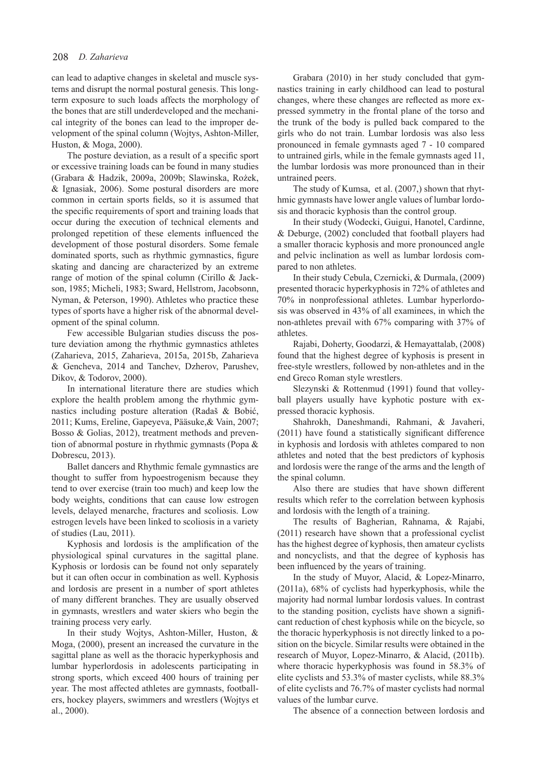can lead to adaptive changes in skeletal and muscle systems and disrupt the normal postural genesis. This longterm exposure to such loads affects the morphology of the bones that are still underdeveloped and the mechanical integrity of the bones can lead to the improper development of the spinal column (Wojtys, Ashton-Miller, Huston, & Moga, 2000).

The posture deviation, as a result of a specific sport or excessive training loads can be found in many studies (Grabara & Hadzik, 2009a, 2009b; Slawinska, Rożek, & Ignasiak, 2006). Some postural disorders are more common in certain sports fields, so it is assumed that the specific requirements of sport and training loads that occur during the execution of technical elements and prolonged repetition of these elements influenced the development of those postural disorders. Some female dominated sports, such as rhythmic gymnastics, figure skating and dancing are characterized by an extreme range of motion of the spinal column (Cirillo & Jackson, 1985; Micheli, 1983; Sward, Hellstrom, Jacobsonn, Nyman, & Peterson, 1990). Athletes who practice these types of sports have a higher risk of the abnormal development of the spinal column.

Few accessible Bulgarian studies discuss the posture deviation among the rhythmic gymnastics athletes (Zaharieva, 2015, Zaharieva, 2015a, 2015b, Zaharieva & Gencheva, 2014 and Tanchev, Dzherov, Parushev, Dikov, & Todorov, 2000).

In international literature there are studies which explore the health problem among the rhythmic gymnastics including posture alteration (Radaš & Bobić, 2011; Kums, Ereline, Gapeyeva, Pääsuke,& Vain, 2007; Bosso & Golias, 2012), treatment methods and prevention of abnormal posture in rhythmic gymnasts (Popa & Dobrescu, 2013).

Ballet dancers and Rhythmic female gymnastics are thought to suffer from hypoestrogenism because they tend to over exercise (train too much) and keep low the body weights, conditions that can cause low estrogen levels, delayed menarche, fractures and scoliosis. Low estrogen levels have been linked to scoliosis in a variety of studies (Lau, 2011).

Kyphosis and lordosis is the amplification of the physiological spinal curvatures in the sagittal plane. Kyphosis or lordosis can be found not only separately but it can often occur in combination as well. Kyphosis and lordosis are present in a number of sport athletes of many different branches. They are usually observed in gymnasts, wrestlers and water skiers who begin the training process very early.

In their study Wojtys, Ashton-Miller, Huston, & Moga, (2000), present an increased the curvature in the sagittal plane as well as the thoracic hyperkyphosis and lumbar hyperlordosis in adolescents participating in strong sports, which exceed 400 hours of training per year. The most affected athletes are gymnasts, footballers, hockey players, swimmers and wrestlers (Wojtys et al., 2000).

Grabara (2010) in her study concluded that gymnastics training in early childhood can lead to postural changes, where these changes are reflected as more expressed symmetry in the frontal plane of the torso and the trunk of the body is pulled back compared to the girls who do not train. Lumbar lordosis was also less pronounced in female gymnasts aged 7 - 10 compared to untrained girls, while in the female gymnasts aged 11, the lumbar lordosis was more pronounced than in their untrained peers.

The study of Kumsa, et al. (2007,) shown that rhythmic gymnasts have lower angle values of lumbar lordosis and thoracic kyphosis than the control group.

In their study (Wodecki, Guigui, Hanotel, Cardinne, & Deburge, (2002) concluded that football players had a smaller thoracic kyphosis and more pronounced angle and pelvic inclination as well as lumbar lordosis compared to non athletes.

In their study Cebula, Czernicki, & Durmala, (2009) presented thoracic hyperkyphosis in 72% of athletes and 70% in nonprofessional athletes. Lumbar hyperlordosis was observed in 43% of all examinees, in which the non-athletes prevail with 67% comparing with 37% of athletes.

Rajabi, Doherty, Goodarzi, & Hemayattalab, (2008) found that the highest degree of kyphosis is present in free-style wrestlers, followed by non-athletes and in the end Greco Roman style wrestlers.

Slezynski & Rottenmud (1991) found that volleyball players usually have kyphotic posture with expressed thoracic kyphosis.

Shahrokh, Daneshmandi, Rahmani, & Javaheri, (2011) have found a statistically significant difference in kyphosis and lordosis with athletes compared to non athletes and noted that the best predictors of kyphosis and lordosis were the range of the arms and the length of the spinal column.

Also there are studies that have shown different results which refer to the correlation between kyphosis and lordosis with the length of a training.

The results of Bagherian, Rahnama, & Rajabi, (2011) research have shown that a professional cyclist has the highest degree of kyphosis, then amateur cyclists and noncyclists, and that the degree of kyphosis has been influenced by the years of training.

In the study of Muyor, Alacid, & Lopez-Minarro, (2011а), 68% of cyclists had hyperkyphosis, while the majority had normal lumbar lordosis values. In contrast to the standing position, cyclists have shown a significant reduction of chest kyphosis while on the bicycle, so the thoracic hyperkyphosis is not directly linked to a position on the bicycle. Similar results were obtained in the research of Muyor, Lopez-Minarro, & Alacid, (2011b). where thoracic hyperkyphosis was found in 58.3% of elite cyclists and 53.3% of master cyclists, while 88.3% of elite cyclists and 76.7% of master cyclists had normal values of the lumbar curve.

The absence of a connection between lordosis and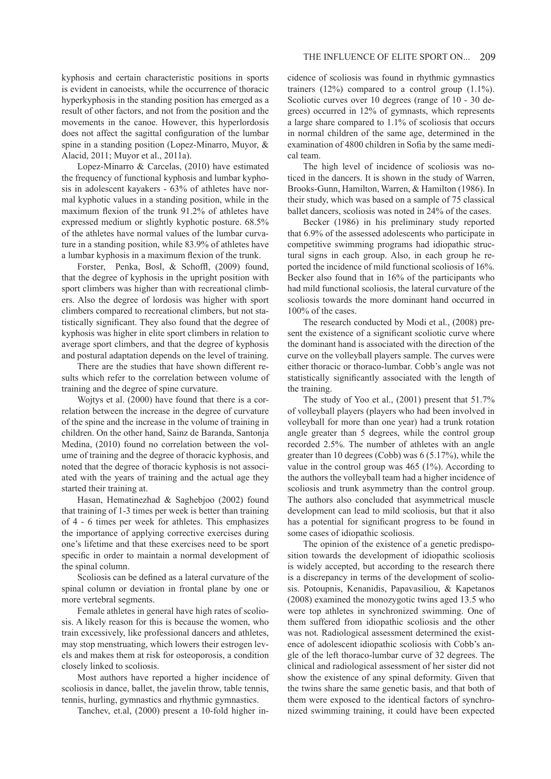kyphosis and certain characteristic positions in sports is evident in canoeists, while the occurrence of thoracic hyperkyphosis in the standing position has emerged as a result of other factors, and not from the position and the movements in the canoe. However, this hyperlordosis does not affect the sagittal configuration of the lumbar spine in a standing position (Lopez-Minarro, Muyor, & Alacid, 2011; Muyor et al., 2011a).

Lopez-Minarro & Carcelas, (2010) have estimated the frequency of functional kyphosis and lumbar kyphosis in adolescent kayakers - 63% of athletes have normal kyphotic values in a standing position, while in the maximum flexion of the trunk 91.2% of athletes have expressed medium or slightly kyphotic posture. 68.5% of the athletes have normal values of the lumbar curvature in a standing position, while 83.9% of athletes have a lumbar kyphosis in a maximum flexion of the trunk.

Forster, Penka, Bosl, & Schoffl, (2009) found, that the degree of kyphosis in the upright position with sport climbers was higher than with recreational climbers. Also the degree of lordosis was higher with sport climbers compared to recreational climbers, but not statistically significant. They also found that the degree of kyphosis was higher in elite sport climbers in relation to average sport climbers, and that the degree of kyphosis and postural adaptation depends on the level of training.

There are the studies that have shown different results which refer to the correlation between volume of training and the degree of spine curvature.

Wojtys et al. (2000) have found that there is a correlation between the increase in the degree of curvature of the spine and the increase in the volume of training in children. On the other hand, Sainz de Baranda, Santonja Medina, (2010) found no correlation between the volume of training and the degree of thoracic kyphosis, and noted that the degree of thoracic kyphosis is not associated with the years of training and the actual age they started their training at.

Hasan, Hematinezhad & Saghebjoo (2002) found that training of 1-3 times per week is better than training of 4 - 6 times per week for athletes. This emphasizes the importance of applying corrective exercises during one's lifetime and that these exercises need to be sport specific in order to maintain a normal development of the spinal column.

Scoliosis can be defined as a lateral curvature of the spinal column or deviation in frontal plane by one or more vertebral segments.

Female athletes in general have high rates of scoliosis. A likely reason for this is because the women, who train excessively, like professional dancers and athletes, may stop menstruating, which lowers their estrogen levels and makes them at risk for osteoporosis, a condition closely linked to scoliosis.

Most authors have reported a higher incidence of scoliosis in dance, ballet, the javelin throw, table tennis, tennis, hurling, gymnastics and rhythmic gymnastics.

Tanchev, et.al, (2000) present a 10-fold higher in-

cidence of scoliosis was found in rhythmic gymnastics trainers  $(12%)$  compared to a control group  $(1.1%)$ . Scoliotic curves over 10 degrees (range of 10 - 30 degrees) occurred in 12% of gymnasts, which represents a large share compared to 1.1% of scoliosis that occurs in normal children of the same age, determined in the examination of 4800 children in Sofia by the same medical team.

The high level of incidence of scoliosis was noticed in the dancers. It is shown in the study of Warren, Brooks-Gunn, Hamilton, Warren, & Hamilton (1986). In their study, which was based on a sample of 75 classical ballet dancers, scoliosis was noted in 24% of the cases.

Becker (1986) in his preliminary study reported that 6.9% of the assessed adolescents who participate in competitive swimming programs had idiopathic structural signs in each group. Also, in each group he reported the incidence of mild functional scoliosis of 16%. Becker also found that in 16% of the participants who had mild functional scoliosis, the lateral curvature of the scoliosis towards the more dominant hand occurred in 100% of the cases.

The research conducted by Modi et al., (2008) present the existence of a significant scoliotic curve where the dominant hand is associated with the direction of the curve on the volleyball players sample. The curves were either thoracic or thoraco-lumbar. Cobb's angle was not statistically significantly associated with the length of the training.

The study of Yoo et al., (2001) present that 51.7% of volleyball players (players who had been involved in volleyball for more than one year) had a trunk rotation angle greater than 5 degrees, while the control group recorded 2.5%. The number of athletes with an angle greater than 10 degrees (Cobb) was 6 (5.17%), while the value in the control group was  $465$  (1%). According to the authors the volleyball team had a higher incidence of scoliosis and trunk asymmetry than the control group. The authors also concluded that asymmetrical muscle development can lead to mild scoliosis, but that it also has a potential for significant progress to be found in some cases of idiopathic scoliosis.

The opinion of the existence of a genetic predisposition towards the development of idiopathic scoliosis is widely accepted, but according to the research there is a discrepancy in terms of the development of scoliosis. Potoupnis, Kenanidis, Papavasiliou, & Kapetanos (2008) examined the monozygotic twins aged 13.5 who were top athletes in synchronized swimming. One of them suffered from idiopathic scoliosis and the other was not. Radiological assessment determined the existence of adolescent idiopathic scoliosis with Cobb's angle of the left thoraco-lumbar curve of 32 degrees. The clinical and radiological assessment of her sister did not show the existence of any spinal deformity. Given that the twins share the same genetic basis, and that both of them were exposed to the identical factors of synchronized swimming training, it could have been expected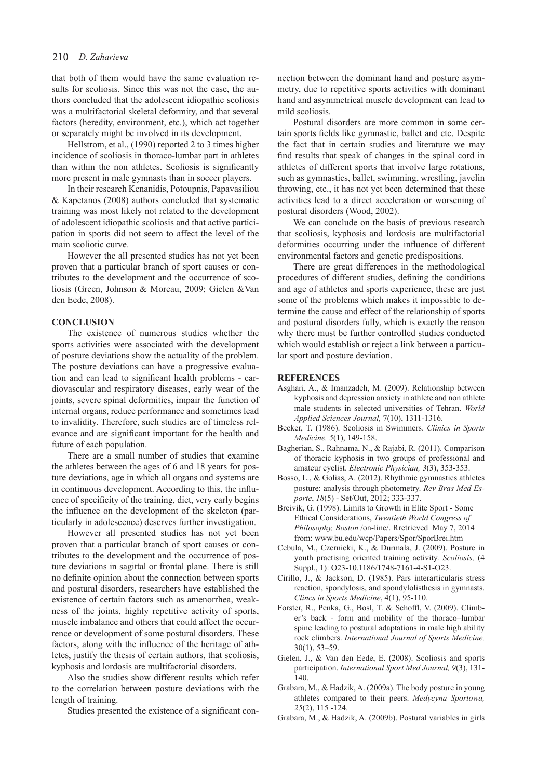that both of them would have the same evaluation results for scoliosis. Since this was not the case, the authors concluded that the adolescent idiopathic scoliosis was a multifactorial skeletal deformity, and that several factors (heredity, environment, etc.), which act together or separately might be involved in its development.

Hellstrom, et al., (1990) reported 2 to 3 times higher incidence of scoliosis in thoraco-lumbar part in athletes than within the non athletes. Scoliosis is significantly more present in male gymnasts than in soccer players.

In their research Kenanidis, Potoupnis, Papavasiliou & Kapetanos (2008) authors concluded that systematic training was most likely not related to the development of adolescent idiopathic scoliosis and that active participation in sports did not seem to affect the level of the main scoliotic curve.

However the all presented studies has not yet been proven that a particular branch of sport causes or contributes to the development and the occurrence of scoliosis (Green, Johnson & Moreau, 2009; Gielen &Van den Eede, 2008).

## **CONCLUSION**

Тhe existence of numerous studies whether the sports activities were associated with the development of posture deviations show the actuality of the problem. The posture deviations can have a progressive evaluation and can lead to significant health problems - cardiovascular and respiratory diseases, early wear of the joints, severe spinal deformities, impair the function of internal organs, reduce performance and sometimes lead to invalidity. Therefore, such studies are of timeless relevance and are significant important for the health and future of each population.

There are a small number of studies that examine the athletes between the ages of 6 and 18 years for posture deviations, age in which all organs and systems are in continuous development. According to this, the influence of specificity of the training, diet, very early begins the influence on the development of the skeleton (particularly in adolescence) deserves further investigation.

However all presented studies has not yet been proven that a particular branch of sport causes or contributes to the development and the occurrence of posture deviations in sagittal or frontal plane. There is still no definite opinion about the connection between sports and postural disorders, researchers have established the existence of certain factors such as amenorrhea, weakness of the joints, highly repetitive activity of sports, muscle imbalance and others that could affect the occurrence or development of some postural disorders. These factors, along with the influence of the heritage of athletes, justify the thesis of certain authors, that scoliosis, kyphosis and lordosis are multifactorial disorders.

Also the studies show different results which refer to the correlation between posture deviations with the length of training.

Studies presented the existence of a significant con-

nection between the dominant hand and posture asymmetry, due to repetitive sports activities with dominant hand and asymmetrical muscle development can lead to mild scoliosis.

Postural disorders are more common in some certain sports fields like gymnastic, ballet and etc. Despite the fact that in certain studies and literature we may find results that speak of changes in the spinal cord in athletes of different sports that involve large rotations, such as gymnastics, ballet, swimming, wrestling, javelin throwing, etc., it has not yet been determined that these activities lead to a direct acceleration or worsening of postural disorders (Wood, 2002).

We can conclude on the basis of previous research that scoliosis, kyphosis and lordosis are multifactorial deformities occurring under the influence of different environmental factors and genetic predispositions.

There are great differences in the methodological procedures of different studies, defining the conditions and age of athletes and sports experience, these are just some of the problems which makes it impossible to determine the cause and effect of the relationship of sports and postural disorders fully, which is exactly the reason why there must be further controlled studies conducted which would establish or reject a link between a particular sport and posture deviation.

## **REFERENCES**

- Asghari, A., & Imanzadeh, M. (2009). Relationship between kyphosis and depression anxiety in athlete and non athlete male students in selected universities of Tehran. *World Applied Sciences Journal,* 7(10), 1311-1316.
- Becker, T. (1986). Scoliosis in Swimmers. *Clinics in Sports Medicine, 5*(1), 149-158.
- Bagherian, S., Rahnama, N., & Rajabi, R. (2011). Comparison of thoracic kyphosis in two groups of professional and amateur cyclist. *Electronic Physician, 3*(3), 353-353.
- Bosso, L., & Golias, A. (2012). Rhythmic gymnastics athletes posture: analysis through photometry. *Rev Bras Med Esporte*, *18*(5) - Set/Out, 2012; 333-337.
- Breivik, G. (1998). Limits to Growth in Elite Sport Some Ethical Considerations, *Twentieth World Congress of Philosophy, Boston* /on-line/. Rretrieved May 7, 2014 from: www.bu.edu/wcp/Papers/Spor/SporBrei.htm
- Cebula, M., Czernicki, K., & Durmala, J. (2009). Posture in youth practising oriented training activity. *Scoliosis,* (4 Suppl., 1): O23-10.1186/1748-7161-4-S1-O23.
- Cirillo, J., & Jackson, D. (1985). Pars interarticularis stress reaction, spondylosis, and spondylolisthesis in gymnasts. *Clincs in Sports Medicine*, 4(1), 95-110.
- Forster, R., Penka, G., Bosl, T. & Schoffl, V. (2009). Climber's back - form and mobility of the thoraco–lumbar spine leading to postural adaptations in male high ability rock climbers. *International Journal of Sports Medicine,*  30(1), 53–59.
- Gielen, J., & Van den Eede, E. (2008). Scoliosis and sports participation. *International Sport Med Journal, 9*(3), 131- 140.
- Grabara, M., & Hadzik, A. (2009a). The body posture in young athletes compared to their peers. *Medycyna Sportowa, 25*(2), 115 -124.
- Grabara, M., & Hadzik, A. (2009b). Postural variables in girls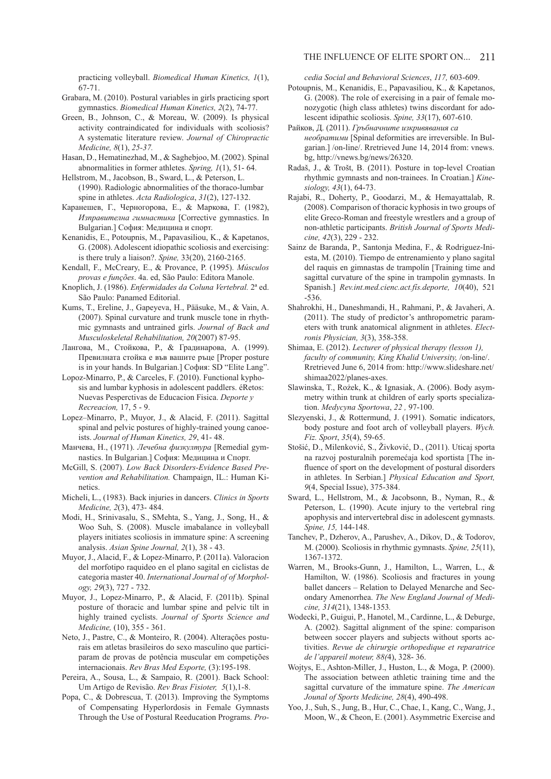practicing volleyball. *Biomedical Human Kinetics, 1*(1), 67-71.

- Grabara, M. (2010). Postural variables in girls practicing sport gymnastics. *Biomedical Human Kinetics, 2*(2), 74-77.
- Green, B., Johnson, C., & Moreau, W. (2009). Is physical activity contraindicated for individuals with scoliosis? A systematic literature review. *Journal of Chiropractic Medicine, 8*(1), *25-37.*
- Hasan, D., Hematinezhad, M., & Saghebjoo, M. (2002). Spinal abnormalities in former athletes. *Spring, 1*(1), 51- 64.
- Hellstrom, M., Jacobson, B., Sward, L., & Peterson, L. (1990). Radiologic abnormalities of the thoraco-lumbar spine in athletes. *Acta Radiologica*, *31*(2), 127-132.
- Каранешев, Г., Черногорова, Е., & Маркова, Г. (1982), *Изправителна гимнастика* [Corrective gymnastics. In Bulgarian.] София: Медицина и спорт.
- Kenanidis, E., Potoupnis, M., Papavasiliou, K., & Kapetanos, G. (2008). Adolescent idiopathic scoliosis and exercising: is there truly a liaison?. *Spine,* 33(20), 2160-2165.
- Kendall, F., McCreary, E., & Provance, P. (1995). *Músculos provas e funções*. 4a. ed, São Paulo: Editora Manole.
- Knoplich, J. (1986). *Enfermidades da Coluna Vertebral.* 2ª ed. São Paulo: Panamed Editorial.
- Kums, T., Ereline, J., Gapeyeva, H., Pääsuke, M., & Vain, A. (2007). Spinal curvature and trunk muscle tone in rhythmic gymnasts and untrained girls. *Journal of Back and Musculoskeletal Rehabilitation, 20*(2007) 87-95.
- Лангова, М., Стойкова, Р., & Градинарова, А. (1999). Превилната стойка е във вашите ръце [Proper posture is in your hands. In Bulgarian.] София: SD "Elite Lang".
- Lopoz-Minarro, P., & Carceles, F. (2010). Functional kyphosis and lumbar kyphosis in adolescent paddlers. éRetos: Nuevas Pesperctivas de Educacion Fisica. *Deporte y Recreacion,* 17, 5 - 9.
- Lopez–Minarro, P., Muyor, J., & Alacid, F. (2011). Sagittal spinal and pelvic postures of highly-trained young canoeists. *Journal of Human Kinetics, 29*, 41- 48.
- Манчева, Н., (1971). *Лечебна физкултура* [Remedial gymnastics. In Bulgarian.] София: Медицина и Спорт.
- McGill, S. (2007). *Low Back Disorders-Evidence Based Prevention and Rehabilitation.* Champaign, IL.: Human Kinetics.
- Micheli, L., (1983). Back injuries in dancers. *Clinics in Sports Medicine, 2*(3), 473- 484.
- Modi, H., Srinivasalu, S., SMehta, S., Yang, J., Song, H., & Woo Suh, S. (2008). Muscle imabalance in volleyball players initiates scoliosis in immature spine: A screening analysis. *Asian Spine Journal, 2*(1), 38 - 43.
- Muyor, J., Alacid, F., & Lopez-Minarro, P. (2011а). Valoracion del morfotipo raquideo en el plano sagital en ciclistas de categoria master 40. *International Journal of of Morphology, 29*(3), 727 - 732.
- Muyor, J., Lopez-Minarro, P., & Alacid, F. (2011b). Spinal posture of thoracic and lumbar spine and pelvic tilt in highly trained cyclists. *Journal of Sports Science and Medicine,* (10), 355 - 361.
- Neto, J., Pastre, C., & Monteiro, R. (2004). Alterações posturais em atletas brasileiros do sexo masculino que participaram de provas de potência muscular em competições internacionais. *Rev Bras Med Esporte,* (3):195-198.
- Pereira, A., Sousa, L., & Sampaio, R. (2001). Back School: Um Artigo de Revisão. *Rev Bras Fisioter, 5*(1),1-8.
- Popa, C., & Dobrescua, T. (2013). Improving the Symptoms of Compensating Hyperlordosis in Female Gymnasts Through the Use of Postural Reeducation Programs. *Pro-*

*cedia Social and Behavioral Sciences*, *117,* 603-609.

- Potoupnis, M., Kenanidis, E., Papavasiliou, K., & Kapetanos, G. (2008). The role of exercising in a pair of female monozygotic (high class athletes) twins discordant for adolescent idipathic scoliosis. *Spine, 33*(17), 607-610.
- Райков, Д. (2011). *Гръбначните изкривявания са необратими* [Spinal deformities are irreversible. In Bulgarian.] /on-line/. Rretrieved June 14, 2014 from: vnews. bg, http://vnews.bg/news/26320.
- Radaš, J., & Trošt, B. (2011). Posture in top-level Croatian rhythmic gymnasts and non-trainees. In Croatian.] *Kinesiology, 43*(1), 64-73.
- Rajabi, R., Doherty, P., Goodarzi, M., & Hemayattalab, R. (2008). Comparison of thoracic kyphosis in two groups of elite Greco-Roman and freestyle wrestlers and a group of non-athletic participants. *British Journal of Sports Medicine, 42*(3), 229 - 232.
- Sainz de Baranda, P., Santonja Medina, F., & Rodriguez-Iniesta, M. (2010). Tiempo de entrenamiento y plano sagital del raquis en gimnastas de trampolín [Training time and sagittal curvature of the spine in trampolin gymnasts. In Spanish.] *Rev.int.med.cienc.act.fís.deporte, 10*(40), 521 -536.
- Shahrokhi, H., Daneshmandi, H., Rahmani, P., & Javaheri, A. (2011). The study of predictor's anthropometric parameters with trunk anatomical alignment in athletes. *Electronis Physician, 3*(3), 358-358.
- Shimaa, E. (2012). *Lecturer of physical therapy (lesson 1), faculty of community, King Khalid University,* /on-line/. Rretrieved June 6, 2014 from: http://www.slideshare.net/ shimaa2022/planes-axes.
- Slawinska, T., Rożek, K., & Ignasiak, A. (2006). Body asymmetry within trunk at children of early sports specialization. *Medycyna Sportowa*, *22 ,* 97-100.
- Slezyenski, J., & Rottermund, J. (1991). Somatic indicators, body posture and foot arch of volleyball players. *Wych. Fiz. Sport*, *35*(4), 59-65.
- Stošić, D., Milenković, S., Živković, D., (2011). Uticaj sporta na razvoj posturalnih poremećaja kod sportista [The influence of sport on the development of postural disorders in athletes. In Serbian.] *Physical Education and Sport, 9*(4, Special Issue), 375-384.
- Sward, L., Hellstrom, M., & Jacobsonn, B., Nyman, R., & Peterson, L. (1990). Acute injury to the vertebral ring apophysis and intervertebral disc in adolescent gymnasts. *Spine, 15,* 144-148.
- Tanchev, P., Dzherov, A., Parushev, A., Dikov, D., & Todorov, M. (2000). Scoliosis in rhythmic gymnasts. *Spine, 25*(11), 1367-1372.
- Warren, M., Brooks-Gunn, J., Hamilton, L., Warren, L., & Hamilton, W. (1986). Scoliosis and fractures in young ballet dancers – Relation to Delayed Menarche and Secondary Amenorrhea. *The New England Journal of Medicine, 314*(21), 1348-1353*.*
- Wodecki, P., Guigui, P., Hanotel, M., Cardinne, L., & Deburge, A. (2002). Sagittal alignment of the spine: comparison between soccer players and subjects without sports activities. *Revue de chirurgie orthopedique et reparatrice de l'appareil moteur, 88(*4), 328- 36.
- Wojtys, E., Ashton-Miller, J., Huston, L., & Moga, P. (2000). The association between athletic training time and the sagittal curvature of the immature spine. *The American Jounal of Sports Medicine, 28*(4), 490-498.
- Yoo, J., Suh, S., Jung, B., Hur, C., Chae, I., Kang, C., Wang, J., Moon, W., & Cheon, E. (2001). Asymmetric Exercise and